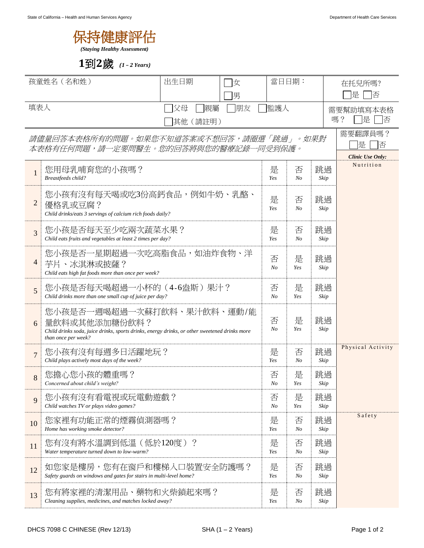

**1**到**2**歲 *(1 – 2 Years)*

| 孩童姓名 (名和姓)                                                                                  |                                                                                                                                                                     | 出生日期<br> 女          |                     | 當日日期:             |                     |            | 在托兒所嗎?                                       |  |
|---------------------------------------------------------------------------------------------|---------------------------------------------------------------------------------------------------------------------------------------------------------------------|---------------------|---------------------|-------------------|---------------------|------------|----------------------------------------------|--|
|                                                                                             |                                                                                                                                                                     | 男                   |                     |                   |                     |            | 是<br>俖                                       |  |
| 填表人<br> 親屬<br> 父母                                                                           |                                                                                                                                                                     |                     | 朋友                  | 監護人               |                     |            | 需要幫助填寫本表格<br>嗎?<br>是<br>否                    |  |
| 其他 (請註明)<br>請儘量回答本表格所有的問題。如果您不知道答案或不想回答,請圈選「跳過」。如果對<br>本表格有任何問題,請一定要問醫生。您的回答將與您的醫療記錄一同受到保護。 |                                                                                                                                                                     |                     |                     |                   |                     |            | 需要翻譯員嗎?<br>是<br>否<br><b>Clinic Use Only:</b> |  |
| $\mathbf{1}$                                                                                | 您用母乳哺育您的小孩嗎?<br>Breastfeeds child?                                                                                                                                  | 是<br>Yes            | 否<br>N <sub>o</sub> | 跳過<br>Skip        | Nutrition           |            |                                              |  |
| $\overline{c}$                                                                              | 您小孩有沒有每天喝或吃3份高鈣食品,例如牛奶、乳酪、<br>優格乳或豆腐?<br>Child drinks/eats 3 servings of calcium rich foods daily?                                                                  | 是<br>Yes            | 否<br>No             | 跳過<br>Skip        |                     |            |                                              |  |
| $\overline{3}$                                                                              | 您小孩是否每天至少吃兩次蔬菜水果?<br>Child eats fruits and vegetables at least 2 times per day?                                                                                     | 是<br>Yes            | 否<br>No             | 跳過<br>Skip        |                     |            |                                              |  |
| 4                                                                                           | 您小孩是否一星期超過一次吃高脂食品,如油炸食物、洋<br>芋片、冰淇淋或披薩?<br>Child eats high fat foods more than once per week?                                                                       | 否<br>N <sub>O</sub> | 是<br>Yes            | 跳過<br>Skip        |                     |            |                                              |  |
| 5                                                                                           | 您小孩是否每天喝超過一小杯的(4-6盎斯)果汁?<br>Child drinks more than one small cup of juice per day?                                                                                  | 否<br>$N_{O}$        | 是<br>Yes            | 跳過<br>Skip        |                     |            |                                              |  |
| 6                                                                                           | 您小孩是否一週喝超過一次蘇打飲料、果汁飲料、運動/能<br>量飲料或其他添加糖份飲料?<br>Child drinks soda, juice drinks, sports drinks, energy drinks, or other sweetened drinks more<br>than once per week? | 否<br>N <sub>O</sub> | 是<br>Yes            | 跳過<br>Skip        |                     |            |                                              |  |
| $\overline{7}$                                                                              | 您小孩有沒有每週多日活躍地玩?<br>Child plays actively most days of the week?                                                                                                      |                     |                     |                   | 否<br>N <sub>o</sub> | 跳過<br>Skip | Physical Activity                            |  |
| 8                                                                                           | 您擔心您小孩的體重嗎?<br>Concerned about child's weight?                                                                                                                      | 否<br>No             | 是<br>Yes            | 跳過<br>$\it{skip}$ |                     |            |                                              |  |
| 9                                                                                           | 您小孩有沒有看電視或玩電動遊戲?<br>Child watches TV or plays video games?                                                                                                          | 否<br>$N_{O}$        | 是<br>Yes            | 跳過<br>Skip        |                     |            |                                              |  |
| 10                                                                                          | 您家裡有功能正常的煙霧偵測器嗎?<br>Home has working smoke detector?                                                                                                                | 是<br>Yes            | 否<br>No             | 跳過<br>Skip        | Safety              |            |                                              |  |
| 11                                                                                          | 您有沒有將水溫調到低溫(低於120度)?<br>Water temperature turned down to low-warm?                                                                                                  | 是<br>Yes            | 否<br>No             | 跳過<br>Skip        |                     |            |                                              |  |
| 12                                                                                          | 如您家是樓房,您有在窗戶和樓梯入口裝置安全防護嗎?<br>Safety guards on windows and gates for stairs in multi-level home?                                                                     | 是<br>Yes            | 否<br>No             | 跳過<br>Skip        |                     |            |                                              |  |
| 13                                                                                          | 您有將家裡的清潔用品、藥物和火柴鎖起來嗎?<br>Cleaning supplies, medicines, and matches locked away?                                                                                     | 是<br>Yes            | 否<br>No             | 跳過<br>Skip        |                     |            |                                              |  |